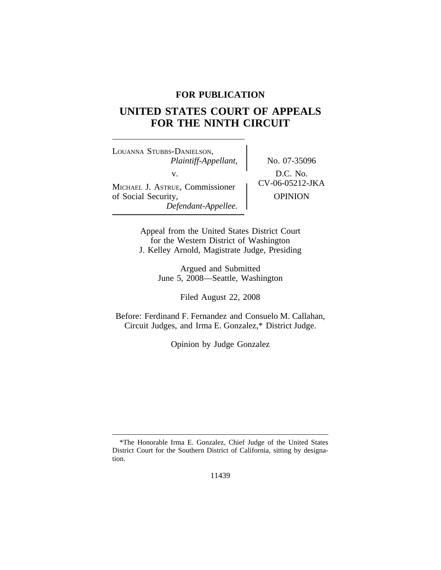# **FOR PUBLICATION**

# **UNITED STATES COURT OF APPEALS FOR THE NINTH CIRCUIT**

<sup>L</sup>OUANNA STUBBS-DANIELSON, *Plaintiff-Appellant,* No. 07-35096 v.  $D.C. No.$ <br>  $UV-06-05212-JKA$ MICHAEL J. ASTRUE, Commissioner of Social Security, and Definition of Social Security, *Defendant-Appellee.*

Appeal from the United States District Court for the Western District of Washington J. Kelley Arnold, Magistrate Judge, Presiding

> Argued and Submitted June 5, 2008—Seattle, Washington

> > Filed August 22, 2008

Before: Ferdinand F. Fernandez and Consuelo M. Callahan, Circuit Judges, and Irma E. Gonzalez,\* District Judge.

Opinion by Judge Gonzalez

11439

<sup>\*</sup>The Honorable Irma E. Gonzalez, Chief Judge of the United States District Court for the Southern District of California, sitting by designation.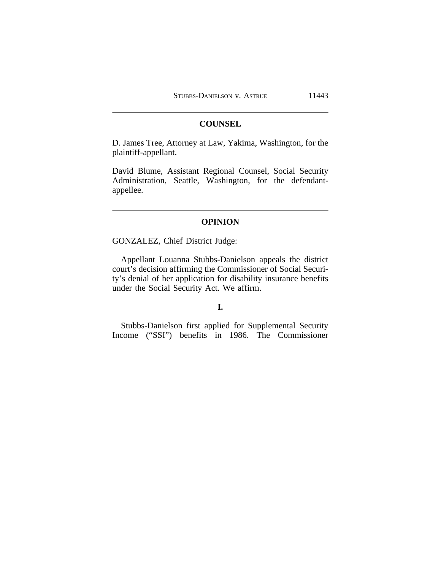#### **COUNSEL**

D. James Tree, Attorney at Law, Yakima, Washington, for the plaintiff-appellant.

David Blume, Assistant Regional Counsel, Social Security Administration, Seattle, Washington, for the defendantappellee.

### **OPINION**

GONZALEZ, Chief District Judge:

Appellant Louanna Stubbs-Danielson appeals the district court's decision affirming the Commissioner of Social Security's denial of her application for disability insurance benefits under the Social Security Act. We affirm.

# **I.**

Stubbs-Danielson first applied for Supplemental Security Income ("SSI") benefits in 1986. The Commissioner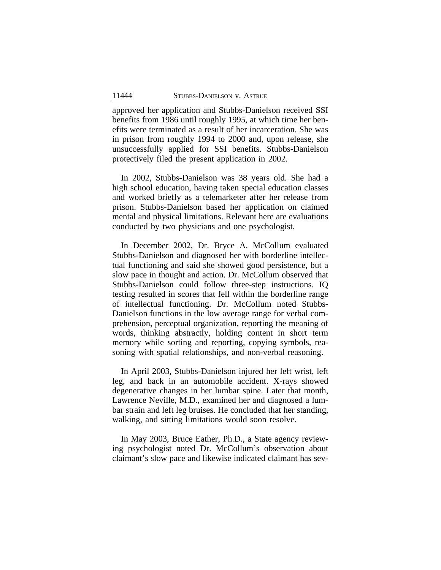approved her application and Stubbs-Danielson received SSI benefits from 1986 until roughly 1995, at which time her benefits were terminated as a result of her incarceration. She was in prison from roughly 1994 to 2000 and, upon release, she unsuccessfully applied for SSI benefits. Stubbs-Danielson protectively filed the present application in 2002.

In 2002, Stubbs-Danielson was 38 years old. She had a high school education, having taken special education classes and worked briefly as a telemarketer after her release from prison. Stubbs-Danielson based her application on claimed mental and physical limitations. Relevant here are evaluations conducted by two physicians and one psychologist.

In December 2002, Dr. Bryce A. McCollum evaluated Stubbs-Danielson and diagnosed her with borderline intellectual functioning and said she showed good persistence, but a slow pace in thought and action. Dr. McCollum observed that Stubbs-Danielson could follow three-step instructions. IQ testing resulted in scores that fell within the borderline range of intellectual functioning. Dr. McCollum noted Stubbs-Danielson functions in the low average range for verbal comprehension, perceptual organization, reporting the meaning of words, thinking abstractly, holding content in short term memory while sorting and reporting, copying symbols, reasoning with spatial relationships, and non-verbal reasoning.

In April 2003, Stubbs-Danielson injured her left wrist, left leg, and back in an automobile accident. X-rays showed degenerative changes in her lumbar spine. Later that month, Lawrence Neville, M.D., examined her and diagnosed a lumbar strain and left leg bruises. He concluded that her standing, walking, and sitting limitations would soon resolve.

In May 2003, Bruce Eather, Ph.D., a State agency reviewing psychologist noted Dr. McCollum's observation about claimant's slow pace and likewise indicated claimant has sev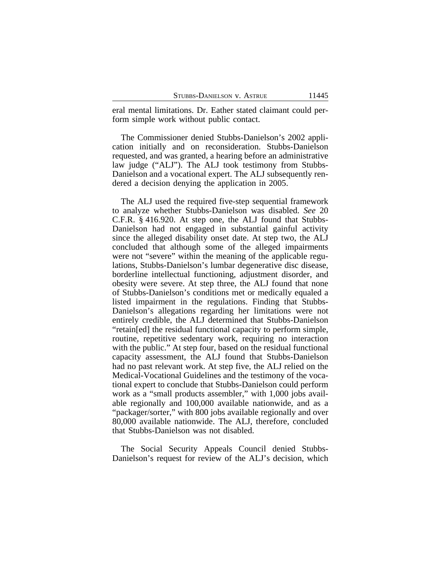eral mental limitations. Dr. Eather stated claimant could perform simple work without public contact.

The Commissioner denied Stubbs-Danielson's 2002 application initially and on reconsideration. Stubbs-Danielson requested, and was granted, a hearing before an administrative law judge ("ALJ"). The ALJ took testimony from Stubbs-Danielson and a vocational expert. The ALJ subsequently rendered a decision denying the application in 2005.

The ALJ used the required five-step sequential framework to analyze whether Stubbs-Danielson was disabled. *See* 20 C.F.R. § 416.920. At step one, the ALJ found that Stubbs-Danielson had not engaged in substantial gainful activity since the alleged disability onset date. At step two, the ALJ concluded that although some of the alleged impairments were not "severe" within the meaning of the applicable regulations, Stubbs-Danielson's lumbar degenerative disc disease, borderline intellectual functioning, adjustment disorder, and obesity were severe. At step three, the ALJ found that none of Stubbs-Danielson's conditions met or medically equaled a listed impairment in the regulations. Finding that Stubbs-Danielson's allegations regarding her limitations were not entirely credible, the ALJ determined that Stubbs-Danielson "retain[ed] the residual functional capacity to perform simple, routine, repetitive sedentary work, requiring no interaction with the public." At step four, based on the residual functional capacity assessment, the ALJ found that Stubbs-Danielson had no past relevant work. At step five, the ALJ relied on the Medical-Vocational Guidelines and the testimony of the vocational expert to conclude that Stubbs-Danielson could perform work as a "small products assembler," with 1,000 jobs available regionally and 100,000 available nationwide, and as a "packager/sorter," with 800 jobs available regionally and over 80,000 available nationwide. The ALJ, therefore, concluded that Stubbs-Danielson was not disabled.

The Social Security Appeals Council denied Stubbs-Danielson's request for review of the ALJ's decision, which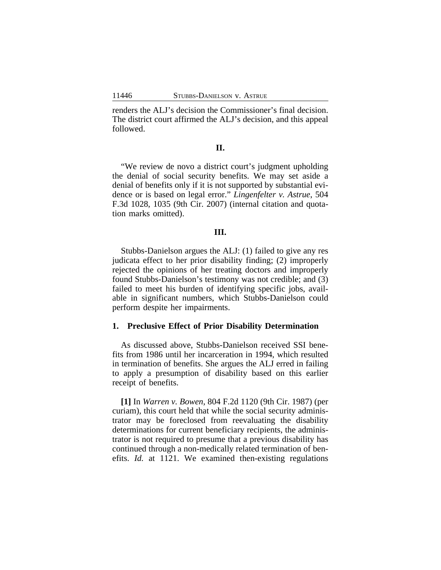renders the ALJ's decision the Commissioner's final decision. The district court affirmed the ALJ's decision, and this appeal followed.

### **II.**

"We review de novo a district court's judgment upholding the denial of social security benefits. We may set aside a denial of benefits only if it is not supported by substantial evidence or is based on legal error." *Lingenfelter v. Astrue*, 504 F.3d 1028, 1035 (9th Cir. 2007) (internal citation and quotation marks omitted).

#### **III.**

Stubbs-Danielson argues the ALJ: (1) failed to give any res judicata effect to her prior disability finding; (2) improperly rejected the opinions of her treating doctors and improperly found Stubbs-Danielson's testimony was not credible; and (3) failed to meet his burden of identifying specific jobs, available in significant numbers, which Stubbs-Danielson could perform despite her impairments.

#### **1. Preclusive Effect of Prior Disability Determination**

As discussed above, Stubbs-Danielson received SSI benefits from 1986 until her incarceration in 1994, which resulted in termination of benefits. She argues the ALJ erred in failing to apply a presumption of disability based on this earlier receipt of benefits.

**[1]** In *Warren v. Bowen*, 804 F.2d 1120 (9th Cir. 1987) (per curiam), this court held that while the social security administrator may be foreclosed from reevaluating the disability determinations for current beneficiary recipients, the administrator is not required to presume that a previous disability has continued through a non-medically related termination of benefits. *Id.* at 1121. We examined then-existing regulations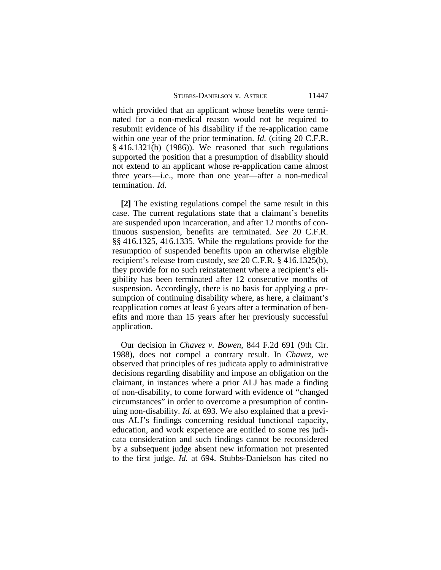STUBBS-DANIELSON V. ASTRUE 11447

which provided that an applicant whose benefits were terminated for a non-medical reason would not be required to resubmit evidence of his disability if the re-application came within one year of the prior termination. *Id.* (citing 20 C.F.R. § 416.1321(b) (1986)). We reasoned that such regulations supported the position that a presumption of disability should not extend to an applicant whose re-application came almost three years—i.e., more than one year—after a non-medical termination. *Id.*

**[2]** The existing regulations compel the same result in this case. The current regulations state that a claimant's benefits are suspended upon incarceration, and after 12 months of continuous suspension, benefits are terminated. *See* 20 C.F.R. §§ 416.1325, 416.1335. While the regulations provide for the resumption of suspended benefits upon an otherwise eligible recipient's release from custody, *see* 20 C.F.R. § 416.1325(b), they provide for no such reinstatement where a recipient's eligibility has been terminated after 12 consecutive months of suspension. Accordingly, there is no basis for applying a presumption of continuing disability where, as here, a claimant's reapplication comes at least 6 years after a termination of benefits and more than 15 years after her previously successful application.

Our decision in *Chavez v. Bowen*, 844 F.2d 691 (9th Cir. 1988), does not compel a contrary result. In *Chavez*, we observed that principles of res judicata apply to administrative decisions regarding disability and impose an obligation on the claimant, in instances where a prior ALJ has made a finding of non-disability, to come forward with evidence of "changed circumstances" in order to overcome a presumption of continuing non-disability. *Id.* at 693. We also explained that a previous ALJ's findings concerning residual functional capacity, education, and work experience are entitled to some res judicata consideration and such findings cannot be reconsidered by a subsequent judge absent new information not presented to the first judge. *Id.* at 694. Stubbs-Danielson has cited no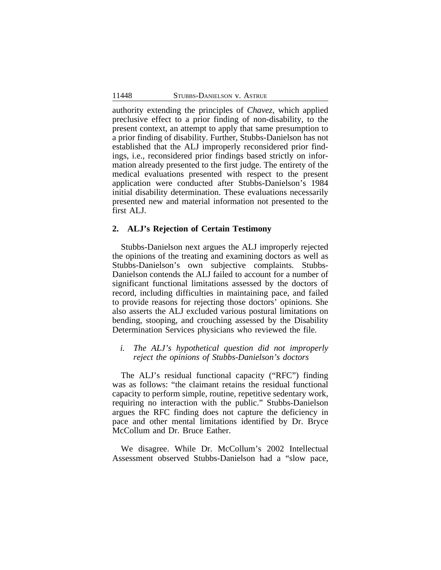authority extending the principles of *Chavez*, which applied preclusive effect to a prior finding of non-disability, to the present context, an attempt to apply that same presumption to a prior finding of disability. Further, Stubbs-Danielson has not established that the ALJ improperly reconsidered prior findings, i.e., reconsidered prior findings based strictly on information already presented to the first judge. The entirety of the medical evaluations presented with respect to the present application were conducted after Stubbs-Danielson's 1984 initial disability determination. These evaluations necessarily presented new and material information not presented to the first ALJ.

#### **2. ALJ's Rejection of Certain Testimony**

Stubbs-Danielson next argues the ALJ improperly rejected the opinions of the treating and examining doctors as well as Stubbs-Danielson's own subjective complaints. Stubbs-Danielson contends the ALJ failed to account for a number of significant functional limitations assessed by the doctors of record, including difficulties in maintaining pace, and failed to provide reasons for rejecting those doctors' opinions. She also asserts the ALJ excluded various postural limitations on bending, stooping, and crouching assessed by the Disability Determination Services physicians who reviewed the file.

### *i. The ALJ's hypothetical question did not improperly reject the opinions of Stubbs-Danielson's doctors*

The ALJ's residual functional capacity ("RFC") finding was as follows: "the claimant retains the residual functional capacity to perform simple, routine, repetitive sedentary work, requiring no interaction with the public." Stubbs-Danielson argues the RFC finding does not capture the deficiency in pace and other mental limitations identified by Dr. Bryce McCollum and Dr. Bruce Eather.

We disagree. While Dr. McCollum's 2002 Intellectual Assessment observed Stubbs-Danielson had a "slow pace,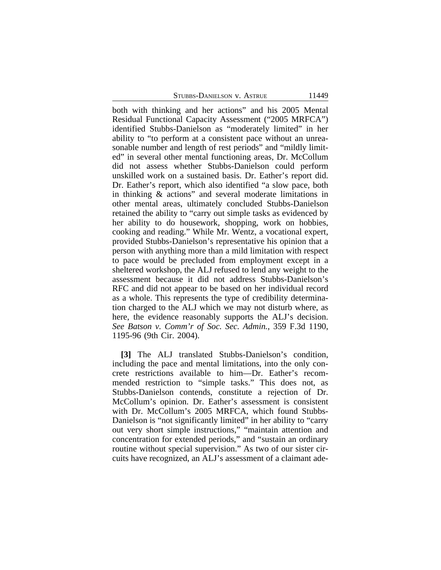STUBBS-DANIELSON V. ASTRUE 11449

both with thinking and her actions" and his 2005 Mental Residual Functional Capacity Assessment ("2005 MRFCA") identified Stubbs-Danielson as "moderately limited" in her ability to "to perform at a consistent pace without an unreasonable number and length of rest periods" and "mildly limited" in several other mental functioning areas, Dr. McCollum did not assess whether Stubbs-Danielson could perform unskilled work on a sustained basis. Dr. Eather's report did. Dr. Eather's report, which also identified "a slow pace, both in thinking & actions" and several moderate limitations in other mental areas, ultimately concluded Stubbs-Danielson retained the ability to "carry out simple tasks as evidenced by her ability to do housework, shopping, work on hobbies, cooking and reading." While Mr. Wentz, a vocational expert, provided Stubbs-Danielson's representative his opinion that a person with anything more than a mild limitation with respect to pace would be precluded from employment except in a sheltered workshop, the ALJ refused to lend any weight to the assessment because it did not address Stubbs-Danielson's RFC and did not appear to be based on her individual record as a whole. This represents the type of credibility determination charged to the ALJ which we may not disturb where, as here, the evidence reasonably supports the ALJ's decision. *See Batson v. Comm'r of Soc. Sec. Admin.*, 359 F.3d 1190, 1195-96 (9th Cir. 2004).

**[3]** The ALJ translated Stubbs-Danielson's condition, including the pace and mental limitations, into the only concrete restrictions available to him—Dr. Eather's recommended restriction to "simple tasks." This does not, as Stubbs-Danielson contends, constitute a rejection of Dr. McCollum's opinion. Dr. Eather's assessment is consistent with Dr. McCollum's 2005 MRFCA, which found Stubbs-Danielson is "not significantly limited" in her ability to "carry" out very short simple instructions," "maintain attention and concentration for extended periods," and "sustain an ordinary routine without special supervision." As two of our sister circuits have recognized, an ALJ's assessment of a claimant ade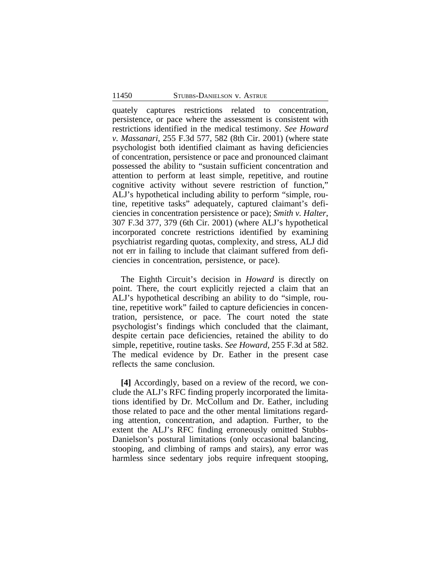quately captures restrictions related to concentration, persistence, or pace where the assessment is consistent with restrictions identified in the medical testimony. *See Howard v. Massanari*, 255 F.3d 577, 582 (8th Cir. 2001) (where state psychologist both identified claimant as having deficiencies of concentration, persistence or pace and pronounced claimant possessed the ability to "sustain sufficient concentration and attention to perform at least simple, repetitive, and routine cognitive activity without severe restriction of function," ALJ's hypothetical including ability to perform "simple, routine, repetitive tasks" adequately, captured claimant's deficiencies in concentration persistence or pace); *Smith v. Halter*, 307 F.3d 377, 379 (6th Cir. 2001) (where ALJ's hypothetical incorporated concrete restrictions identified by examining psychiatrist regarding quotas, complexity, and stress, ALJ did not err in failing to include that claimant suffered from deficiencies in concentration, persistence, or pace).

The Eighth Circuit's decision in *Howard* is directly on point. There, the court explicitly rejected a claim that an ALJ's hypothetical describing an ability to do "simple, routine, repetitive work" failed to capture deficiencies in concentration, persistence, or pace. The court noted the state psychologist's findings which concluded that the claimant, despite certain pace deficiencies, retained the ability to do simple, repetitive, routine tasks. *See Howard*, 255 F.3d at 582. The medical evidence by Dr. Eather in the present case reflects the same conclusion.

**[4]** Accordingly, based on a review of the record, we conclude the ALJ's RFC finding properly incorporated the limitations identified by Dr. McCollum and Dr. Eather, including those related to pace and the other mental limitations regarding attention, concentration, and adaption. Further, to the extent the ALJ's RFC finding erroneously omitted Stubbs-Danielson's postural limitations (only occasional balancing, stooping, and climbing of ramps and stairs), any error was harmless since sedentary jobs require infrequent stooping,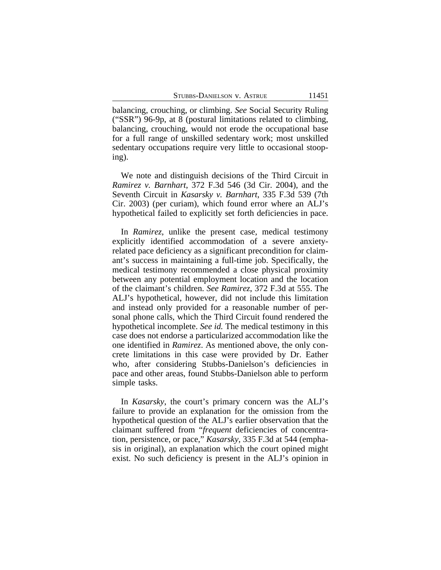balancing, crouching, or climbing. *See* Social Security Ruling ("SSR") 96-9p, at 8 (postural limitations related to climbing, balancing, crouching, would not erode the occupational base for a full range of unskilled sedentary work; most unskilled sedentary occupations require very little to occasional stooping).

We note and distinguish decisions of the Third Circuit in *Ramirez v. Barnhart*, 372 F.3d 546 (3d Cir. 2004), and the Seventh Circuit in *Kasarsky v. Barnhart*, 335 F.3d 539 (7th Cir. 2003) (per curiam), which found error where an ALJ's hypothetical failed to explicitly set forth deficiencies in pace.

In *Ramirez*, unlike the present case, medical testimony explicitly identified accommodation of a severe anxietyrelated pace deficiency as a significant precondition for claimant's success in maintaining a full-time job. Specifically, the medical testimony recommended a close physical proximity between any potential employment location and the location of the claimant's children. *See Ramirez*, 372 F.3d at 555. The ALJ's hypothetical, however, did not include this limitation and instead only provided for a reasonable number of personal phone calls, which the Third Circuit found rendered the hypothetical incomplete. *See id.* The medical testimony in this case does not endorse a particularized accommodation like the one identified in *Ramirez*. As mentioned above, the only concrete limitations in this case were provided by Dr. Eather who, after considering Stubbs-Danielson's deficiencies in pace and other areas, found Stubbs-Danielson able to perform simple tasks.

In *Kasarsky*, the court's primary concern was the ALJ's failure to provide an explanation for the omission from the hypothetical question of the ALJ's earlier observation that the claimant suffered from "*frequent* deficiencies of concentration, persistence, or pace," *Kasarsky*, 335 F.3d at 544 (emphasis in original), an explanation which the court opined might exist. No such deficiency is present in the ALJ's opinion in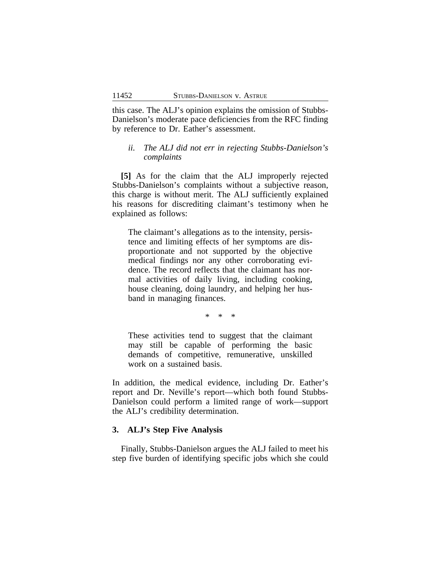this case. The ALJ's opinion explains the omission of Stubbs-Danielson's moderate pace deficiencies from the RFC finding by reference to Dr. Eather's assessment.

### *ii. The ALJ did not err in rejecting Stubbs-Danielson's complaints*

**[5]** As for the claim that the ALJ improperly rejected Stubbs-Danielson's complaints without a subjective reason, this charge is without merit. The ALJ sufficiently explained his reasons for discrediting claimant's testimony when he explained as follows:

The claimant's allegations as to the intensity, persistence and limiting effects of her symptoms are disproportionate and not supported by the objective medical findings nor any other corroborating evidence. The record reflects that the claimant has normal activities of daily living, including cooking, house cleaning, doing laundry, and helping her husband in managing finances.

\* \* \*

These activities tend to suggest that the claimant may still be capable of performing the basic demands of competitive, remunerative, unskilled work on a sustained basis.

In addition, the medical evidence, including Dr. Eather's report and Dr. Neville's report—which both found Stubbs-Danielson could perform a limited range of work—support the ALJ's credibility determination.

#### **3. ALJ's Step Five Analysis**

Finally, Stubbs-Danielson argues the ALJ failed to meet his step five burden of identifying specific jobs which she could